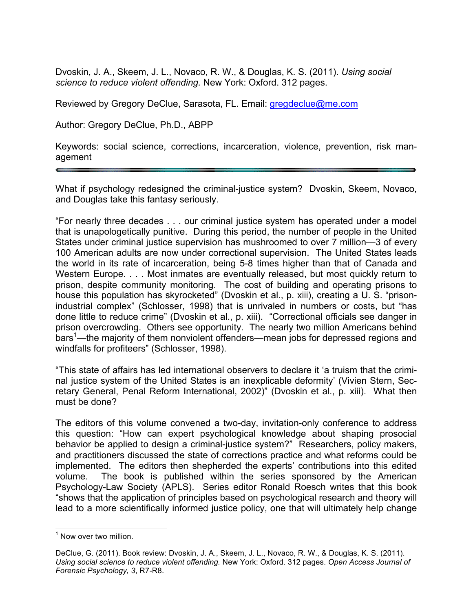Dvoskin, J. A., Skeem, J. L., Novaco, R. W., & Douglas, K. S. (2011). *Using social science to reduce violent offending.* New York: Oxford. 312 pages.

Reviewed by Gregory DeClue, Sarasota, FL. Email: gregdeclue@me.com

Author: Gregory DeClue, Ph.D., ABPP

Keywords: social science, corrections, incarceration, violence, prevention, risk management

What if psychology redesigned the criminal-justice system? Dvoskin, Skeem, Novaco, and Douglas take this fantasy seriously.

"For nearly three decades . . . our criminal justice system has operated under a model that is unapologetically punitive. During this period, the number of people in the United States under criminal justice supervision has mushroomed to over 7 million—3 of every 100 American adults are now under correctional supervision. The United States leads the world in its rate of incarceration, being 5-8 times higher than that of Canada and Western Europe. . . . Most inmates are eventually released, but most quickly return to prison, despite community monitoring. The cost of building and operating prisons to house this population has skyrocketed" (Dvoskin et al., p. xiii), creating a U. S. "prisonindustrial complex" (Schlosser, 1998) that is unrivaled in numbers or costs, but "has done little to reduce crime" (Dvoskin et al., p. xiii). "Correctional officials see danger in prison overcrowding. Others see opportunity. The nearly two million Americans behind bars<sup>1</sup>—the majority of them nonviolent offenders—mean jobs for depressed regions and windfalls for profiteers" (Schlosser, 1998).

"This state of affairs has led international observers to declare it 'a truism that the criminal justice system of the United States is an inexplicable deformity' (Vivien Stern, Secretary General, Penal Reform International, 2002)" (Dvoskin et al., p. xiii). What then must be done?

The editors of this volume convened a two-day, invitation-only conference to address this question: "How can expert psychological knowledge about shaping prosocial behavior be applied to design a criminal-justice system?" Researchers, policy makers, and practitioners discussed the state of corrections practice and what reforms could be implemented. The editors then shepherded the experts' contributions into this edited volume. The book is published within the series sponsored by the American Psychology-Law Society (APLS). Series editor Ronald Roesch writes that this book "shows that the application of principles based on psychological research and theory will lead to a more scientifically informed justice policy, one that will ultimately help change

 $<sup>1</sup>$  Now over two million.</sup>

DeClue, G. (2011). Book review: Dvoskin, J. A., Skeem, J. L., Novaco, R. W., & Douglas, K. S. (2011). *Using social science to reduce violent offending.* New York: Oxford. 312 pages. *Open Access Journal of Forensic Psychology, 3*, R7-R8.